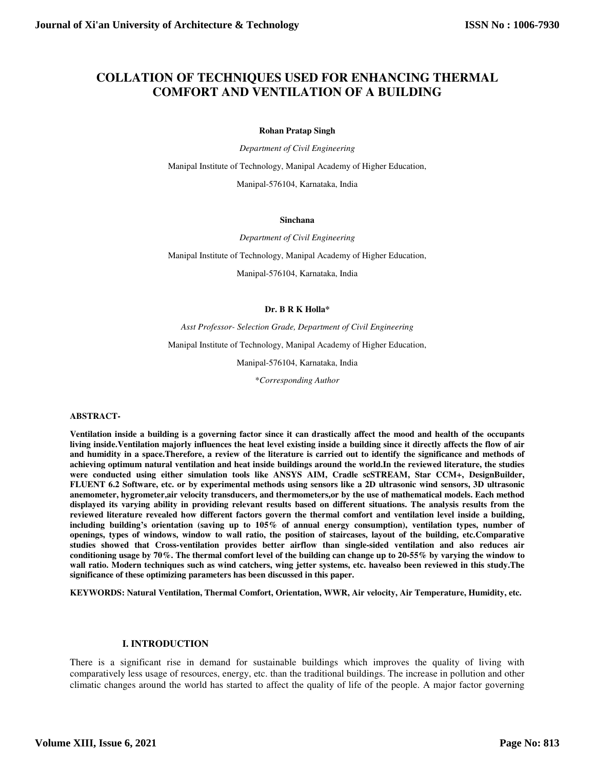# **COLLATION OF TECHNIQUES USED FOR ENHANCING THERMAL COMFORT AND VENTILATION OF A BUILDING**

#### **Rohan Pratap Singh**

*Department of Civil Engineering* 

Manipal Institute of Technology, Manipal Academy of Higher Education,

Manipal-576104, Karnataka, India

#### **Sinchana**

*Department of Civil Engineering* 

Manipal Institute of Technology, Manipal Academy of Higher Education,

Manipal-576104, Karnataka, India

#### **Dr. B R K Holla\***

*Asst Professor- Selection Grade, Department of Civil Engineering* 

Manipal Institute of Technology, Manipal Academy of Higher Education,

Manipal-576104, Karnataka, India

\**Corresponding Author* 

#### **ABSTRACT-**

**Ventilation inside a building is a governing factor since it can drastically affect the mood and health of the occupants living inside.Ventilation majorly influences the heat level existing inside a building since it directly affects the flow of air and humidity in a space.Therefore, a review of the literature is carried out to identify the significance and methods of achieving optimum natural ventilation and heat inside buildings around the world.In the reviewed literature, the studies were conducted using either simulation tools like ANSYS AIM, Cradle scSTREAM, Star CCM+, DesignBuilder, FLUENT 6.2 Software, etc. or by experimental methods using sensors like a 2D ultrasonic wind sensors, 3D ultrasonic anemometer, hygrometer,air velocity transducers, and thermometers,or by the use of mathematical models. Each method displayed its varying ability in providing relevant results based on different situations. The analysis results from the reviewed literature revealed how different factors govern the thermal comfort and ventilation level inside a building, including building's orientation (saving up to 105% of annual energy consumption), ventilation types, number of openings, types of windows, window to wall ratio, the position of staircases, layout of the building, etc.Comparative studies showed that Cross-ventilation provides better airflow than single-sided ventilation and also reduces air conditioning usage by 70%. The thermal comfort level of the building can change up to 20-55% by varying the window to wall ratio. Modern techniques such as wind catchers, wing jetter systems, etc. havealso been reviewed in this study.The significance of these optimizing parameters has been discussed in this paper.** 

**KEYWORDS: Natural Ventilation, Thermal Comfort, Orientation, WWR, Air velocity, Air Temperature, Humidity, etc.** 

#### **I. INTRODUCTION**

There is a significant rise in demand for sustainable buildings which improves the quality of living with comparatively less usage of resources, energy, etc. than the traditional buildings. The increase in pollution and other climatic changes around the world has started to affect the quality of life of the people. A major factor governing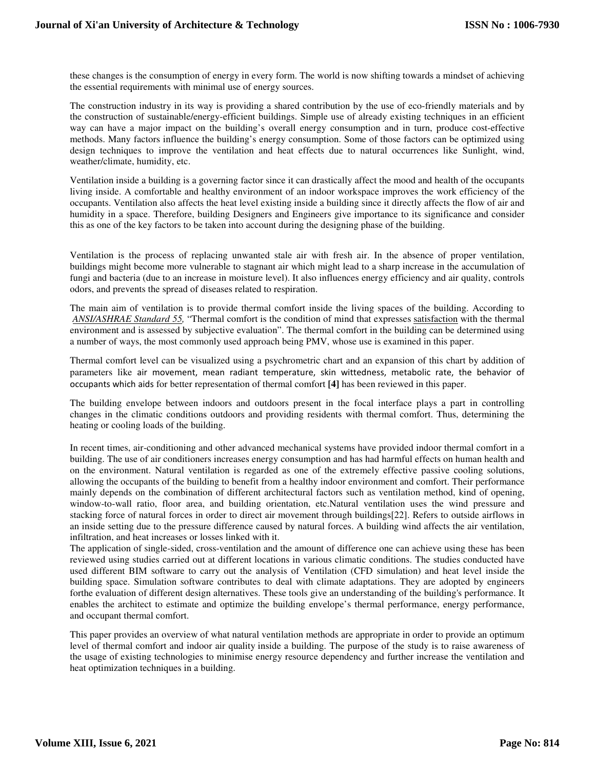these changes is the consumption of energy in every form. The world is now shifting towards a mindset of achieving the essential requirements with minimal use of energy sources.

The construction industry in its way is providing a shared contribution by the use of eco-friendly materials and by the construction of sustainable/energy-efficient buildings. Simple use of already existing techniques in an efficient way can have a major impact on the building's overall energy consumption and in turn, produce cost-effective methods. Many factors influence the building's energy consumption. Some of those factors can be optimized using design techniques to improve the ventilation and heat effects due to natural occurrences like Sunlight, wind, weather/climate, humidity, etc.

Ventilation inside a building is a governing factor since it can drastically affect the mood and health of the occupants living inside. A comfortable and healthy environment of an indoor workspace improves the work efficiency of the occupants. Ventilation also affects the heat level existing inside a building since it directly affects the flow of air and humidity in a space. Therefore, building Designers and Engineers give importance to its significance and consider this as one of the key factors to be taken into account during the designing phase of the building.

Ventilation is the process of replacing unwanted stale air with fresh air. In the absence of proper ventilation, buildings might become more vulnerable to stagnant air which might lead to a sharp increase in the accumulation of fungi and bacteria (due to an increase in moisture level). It also influences energy efficiency and air quality, controls odors, and prevents the spread of diseases related to respiration.

The main aim of ventilation is to provide thermal comfort inside the living spaces of the building. According to *ANSI/ASHRAE Standard 55,* "Thermal comfort is the condition of mind that expresses satisfaction with the thermal environment and is assessed by subjective evaluation". The thermal comfort in the building can be determined using a number of ways, the most commonly used approach being PMV, whose use is examined in this paper.

Thermal comfort level can be visualized using a psychrometric chart and an expansion of this chart by addition of parameters like air movement, mean radiant temperature, skin wittedness, metabolic rate, the behavior of occupants which aids for better representation of thermal comfort **[4]** has been reviewed in this paper.

The building envelope between indoors and outdoors present in the focal interface plays a part in controlling changes in the climatic conditions outdoors and providing residents with thermal comfort. Thus, determining the heating or cooling loads of the building.

In recent times, air-conditioning and other advanced mechanical systems have provided indoor thermal comfort in a building. The use of air conditioners increases energy consumption and has had harmful effects on human health and on the environment. Natural ventilation is regarded as one of the extremely effective passive cooling solutions, allowing the occupants of the building to benefit from a healthy indoor environment and comfort. Their performance mainly depends on the combination of different architectural factors such as ventilation method, kind of opening, window-to-wall ratio, floor area, and building orientation, etc.Natural ventilation uses the wind pressure and stacking force of natural forces in order to direct air movement through buildings[22]. Refers to outside airflows in an inside setting due to the pressure difference caused by natural forces. A building wind affects the air ventilation, infiltration, and heat increases or losses linked with it.

The application of single-sided, cross-ventilation and the amount of difference one can achieve using these has been reviewed using studies carried out at different locations in various climatic conditions. The studies conducted have used different BIM software to carry out the analysis of Ventilation (CFD simulation) and heat level inside the building space. Simulation software contributes to deal with climate adaptations. They are adopted by engineers forthe evaluation of different design alternatives. These tools give an understanding of the building's performance. It enables the architect to estimate and optimize the building envelope's thermal performance, energy performance, and occupant thermal comfort.

This paper provides an overview of what natural ventilation methods are appropriate in order to provide an optimum level of thermal comfort and indoor air quality inside a building. The purpose of the study is to raise awareness of the usage of existing technologies to minimise energy resource dependency and further increase the ventilation and heat optimization techniques in a building.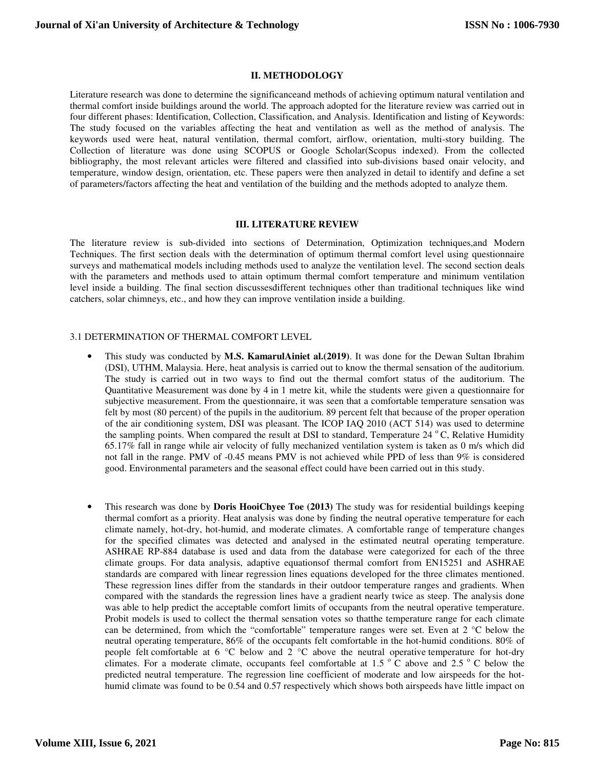### **II. METHODOLOGY**

Literature research was done to determine the significanceand methods of achieving optimum natural ventilation and thermal comfort inside buildings around the world. The approach adopted for the literature review was carried out in four different phases: Identification, Collection, Classification, and Analysis. Identification and listing of Keywords: The study focused on the variables affecting the heat and ventilation as well as the method of analysis. The keywords used were heat, natural ventilation, thermal comfort, airflow, orientation, multi-story building. The Collection of literature was done using SCOPUS or Google Scholar(Scopus indexed). From the collected bibliography, the most relevant articles were filtered and classified into sub-divisions based onair velocity, and temperature, window design, orientation, etc. These papers were then analyzed in detail to identify and define a set of parameters/factors affecting the heat and ventilation of the building and the methods adopted to analyze them.

#### **III. LITERATURE REVIEW**

The literature review is sub-divided into sections of Determination, Optimization techniques,and Modern Techniques. The first section deals with the determination of optimum thermal comfort level using questionnaire surveys and mathematical models including methods used to analyze the ventilation level. The second section deals with the parameters and methods used to attain optimum thermal comfort temperature and minimum ventilation level inside a building. The final section discussesdifferent techniques other than traditional techniques like wind catchers, solar chimneys, etc., and how they can improve ventilation inside a building.

### 3.1 DETERMINATION OF THERMAL COMFORT LEVEL

- This study was conducted by **M.S. KamarulAiniet al.(2019)**. It was done for the Dewan Sultan Ibrahim (DSI), UTHM, Malaysia. Here, heat analysis is carried out to know the thermal sensation of the auditorium. The study is carried out in two ways to find out the thermal comfort status of the auditorium. The Quantitative Measurement was done by 4 in 1 metre kit, while the students were given a questionnaire for subjective measurement. From the questionnaire, it was seen that a comfortable temperature sensation was felt by most (80 percent) of the pupils in the auditorium. 89 percent felt that because of the proper operation of the air conditioning system, DSI was pleasant. The ICOP IAQ 2010 (ACT 514) was used to determine the sampling points. When compared the result at DSI to standard, Temperature 24  $\degree$ C, Relative Humidity 65.17% fall in range while air velocity of fully mechanized ventilation system is taken as 0 m/s which did not fall in the range. PMV of -0.45 means PMV is not achieved while PPD of less than 9% is considered good. Environmental parameters and the seasonal effect could have been carried out in this study.
- This research was done by **Doris HooiChyee Toe (2013)** The study was for residential buildings keeping thermal comfort as a priority. Heat analysis was done by finding the neutral operative temperature for each climate namely, hot-dry, hot-humid, and moderate climates. A comfortable range of temperature changes for the specified climates was detected and analysed in the estimated neutral operating temperature. ASHRAE RP-884 database is used and data from the database were categorized for each of the three climate groups. For data analysis, adaptive equationsof thermal comfort from EN15251 and ASHRAE standards are compared with linear regression lines equations developed for the three climates mentioned. These regression lines differ from the standards in their outdoor temperature ranges and gradients. When compared with the standards the regression lines have a gradient nearly twice as steep. The analysis done was able to help predict the acceptable comfort limits of occupants from the neutral operative temperature. Probit models is used to collect the thermal sensation votes so thatthe temperature range for each climate can be determined, from which the "comfortable" temperature ranges were set. Even at 2 °C below the neutral operating temperature, 86% of the occupants felt comfortable in the hot-humid conditions. 80% of people felt comfortable at 6  $\degree$ C below and 2  $\degree$ C above the neutral operative temperature for hot-dry climates. For a moderate climate, occupants feel comfortable at  $1.5^\circ$  C above and  $2.5^\circ$  C below the predicted neutral temperature. The regression line coefficient of moderate and low airspeeds for the hothumid climate was found to be 0.54 and 0.57 respectively which shows both airspeeds have little impact on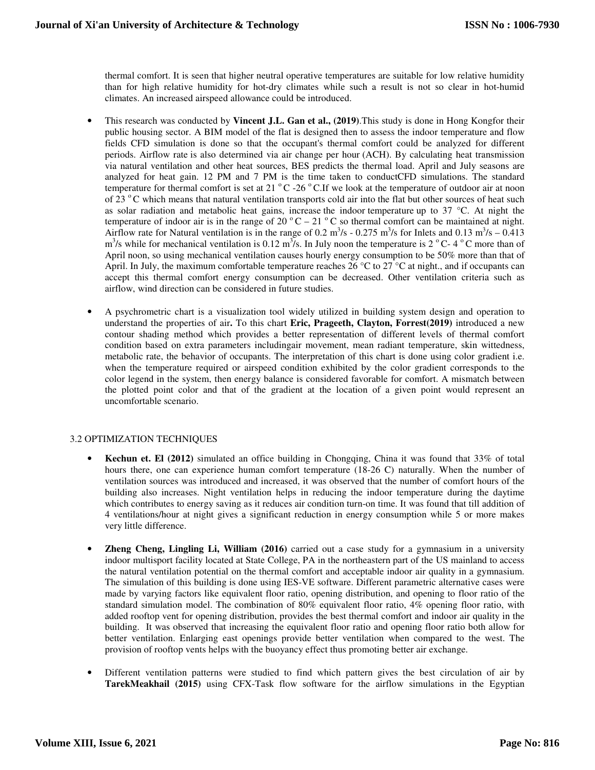thermal comfort. It is seen that higher neutral operative temperatures are suitable for low relative humidity than for high relative humidity for hot-dry climates while such a result is not so clear in hot-humid climates. An increased airspeed allowance could be introduced.

- This research was conducted by **Vincent J.L. Gan et al., (2019)**.This study is done in Hong Kongfor their public housing sector. A BIM model of the flat is designed then to assess the indoor temperature and flow fields CFD simulation is done so that the occupant's thermal comfort could be analyzed for different periods. Airflow rate is also determined via air change per hour (ACH). By calculating heat transmission via natural ventilation and other heat sources, BES predicts the thermal load. April and July seasons are analyzed for heat gain. 12 PM and 7 PM is the time taken to conductCFD simulations. The standard temperature for thermal comfort is set at 21  $\degree$ C -26  $\degree$ C.If we look at the temperature of outdoor air at noon of 23 °C which means that natural ventilation transports cold air into the flat but other sources of heat such as solar radiation and metabolic heat gains, increase the indoor temperature up to 37 °C. At night the temperature of indoor air is in the range of 20  $^{\circ}$ C – 21  $^{\circ}$ C so thermal comfort can be maintained at night. Airflow rate for Natural ventilation is in the range of 0.2 m<sup>3</sup>/s - 0.275 m<sup>3</sup>/s for Inlets and 0.13 m<sup>3</sup>/s – 0.413  $m<sup>3</sup>/s$  while for mechanical ventilation is 0.12  $m<sup>3</sup>/s$ . In July noon the temperature is 2<sup>o</sup>C-4<sup>o</sup>C more than of April noon, so using mechanical ventilation causes hourly energy consumption to be 50% more than that of April. In July, the maximum comfortable temperature reaches 26  $\degree$ C to 27  $\degree$ C at night., and if occupants can accept this thermal comfort energy consumption can be decreased. Other ventilation criteria such as airflow, wind direction can be considered in future studies.
- A psychrometric chart is a visualization tool widely utilized in building system design and operation to understand the properties of air**.** To this chart **Eric, Prageeth, Clayton, Forrest(2019)** introduced a new contour shading method which provides a better representation of different levels of thermal comfort condition based on extra parameters includingair movement, mean radiant temperature, skin wittedness, metabolic rate, the behavior of occupants. The interpretation of this chart is done using color gradient i.e. when the temperature required or airspeed condition exhibited by the color gradient corresponds to the color legend in the system, then energy balance is considered favorable for comfort. A mismatch between the plotted point color and that of the gradient at the location of a given point would represent an uncomfortable scenario.

## 3.2 OPTIMIZATION TECHNIQUES

- **Kechun et. El (2012)** simulated an office building in Chongqing, China it was found that 33% of total hours there, one can experience human comfort temperature (18-26 C) naturally. When the number of ventilation sources was introduced and increased, it was observed that the number of comfort hours of the building also increases. Night ventilation helps in reducing the indoor temperature during the daytime which contributes to energy saving as it reduces air condition turn-on time. It was found that till addition of 4 ventilations/hour at night gives a significant reduction in energy consumption while 5 or more makes very little difference.
- **Zheng Cheng, Lingling Li, William (2016)** carried out a case study for a gymnasium in a university indoor multisport facility located at State College, PA in the northeastern part of the US mainland to access the natural ventilation potential on the thermal comfort and acceptable indoor air quality in a gymnasium. The simulation of this building is done using IES-VE software. Different parametric alternative cases were made by varying factors like equivalent floor ratio, opening distribution, and opening to floor ratio of the standard simulation model. The combination of 80% equivalent floor ratio, 4% opening floor ratio, with added rooftop vent for opening distribution, provides the best thermal comfort and indoor air quality in the building. It was observed that increasing the equivalent floor ratio and opening floor ratio both allow for better ventilation. Enlarging east openings provide better ventilation when compared to the west. The provision of rooftop vents helps with the buoyancy effect thus promoting better air exchange.
- Different ventilation patterns were studied to find which pattern gives the best circulation of air by **TarekMeakhail (2015)** using CFX-Task flow software for the airflow simulations in the Egyptian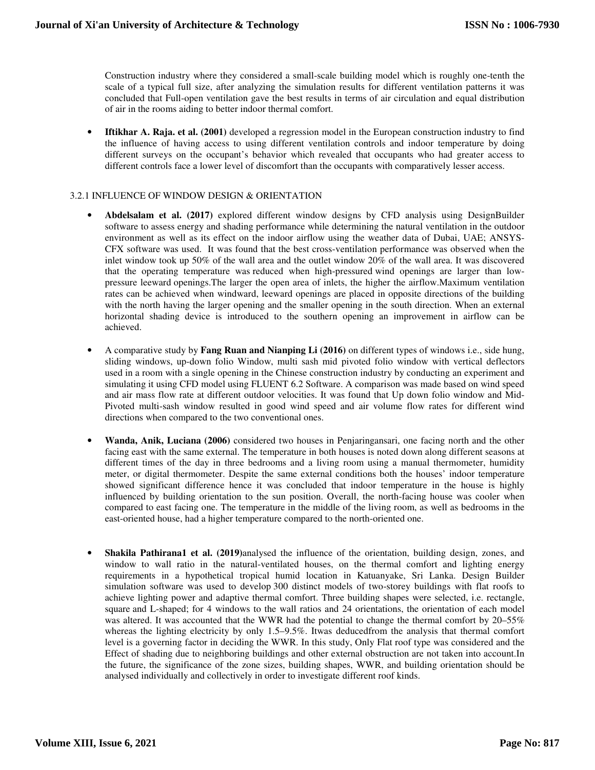Construction industry where they considered a small-scale building model which is roughly one-tenth the scale of a typical full size, after analyzing the simulation results for different ventilation patterns it was concluded that Full-open ventilation gave the best results in terms of air circulation and equal distribution of air in the rooms aiding to better indoor thermal comfort.

• **Iftikhar A. Raja. et al. (2001)** developed a regression model in the European construction industry to find the influence of having access to using different ventilation controls and indoor temperature by doing different surveys on the occupant's behavior which revealed that occupants who had greater access to different controls face a lower level of discomfort than the occupants with comparatively lesser access.

### 3.2.1 INFLUENCE OF WINDOW DESIGN & ORIENTATION

- **Abdelsalam et al. (2017)** explored different window designs by CFD analysis using DesignBuilder software to assess energy and shading performance while determining the natural ventilation in the outdoor environment as well as its effect on the indoor airflow using the weather data of Dubai, UAE; ANSYS-CFX software was used. It was found that the best cross-ventilation performance was observed when the inlet window took up 50% of the wall area and the outlet window 20% of the wall area. It was discovered that the operating temperature was reduced when high-pressured wind openings are larger than lowpressure leeward openings.The larger the open area of inlets, the higher the airflow.Maximum ventilation rates can be achieved when windward, leeward openings are placed in opposite directions of the building with the north having the larger opening and the smaller opening in the south direction. When an external horizontal shading device is introduced to the southern opening an improvement in airflow can be achieved.
- A comparative study by **Fang Ruan and Nianping Li (2016)** on different types of windows i.e., side hung, sliding windows, up-down folio Window, multi sash mid pivoted folio window with vertical deflectors used in a room with a single opening in the Chinese construction industry by conducting an experiment and simulating it using CFD model using FLUENT 6.2 Software. A comparison was made based on wind speed and air mass flow rate at different outdoor velocities. It was found that Up down folio window and Mid-Pivoted multi-sash window resulted in good wind speed and air volume flow rates for different wind directions when compared to the two conventional ones.
- **Wanda, Anik, Luciana (2006)** considered two houses in Penjaringansari, one facing north and the other facing east with the same external. The temperature in both houses is noted down along different seasons at different times of the day in three bedrooms and a living room using a manual thermometer, humidity meter, or digital thermometer. Despite the same external conditions both the houses' indoor temperature showed significant difference hence it was concluded that indoor temperature in the house is highly influenced by building orientation to the sun position. Overall, the north-facing house was cooler when compared to east facing one. The temperature in the middle of the living room, as well as bedrooms in the east-oriented house, had a higher temperature compared to the north-oriented one.
- **Shakila Pathirana1 et al. (2019)**analysed the influence of the orientation, building design, zones, and window to wall ratio in the natural-ventilated houses, on the thermal comfort and lighting energy requirements in a hypothetical tropical humid location in Katuanyake, Sri Lanka. Design Builder simulation software was used to develop 300 distinct models of two-storey buildings with flat roofs to achieve lighting power and adaptive thermal comfort. Three building shapes were selected, i.e. rectangle, square and L-shaped; for 4 windows to the wall ratios and 24 orientations, the orientation of each model was altered. It was accounted that the WWR had the potential to change the thermal comfort by 20–55% whereas the lighting electricity by only 1.5–9.5%. Itwas deducedfrom the analysis that thermal comfort level is a governing factor in deciding the WWR. In this study, Only Flat roof type was considered and the Effect of shading due to neighboring buildings and other external obstruction are not taken into account.In the future, the significance of the zone sizes, building shapes, WWR, and building orientation should be analysed individually and collectively in order to investigate different roof kinds.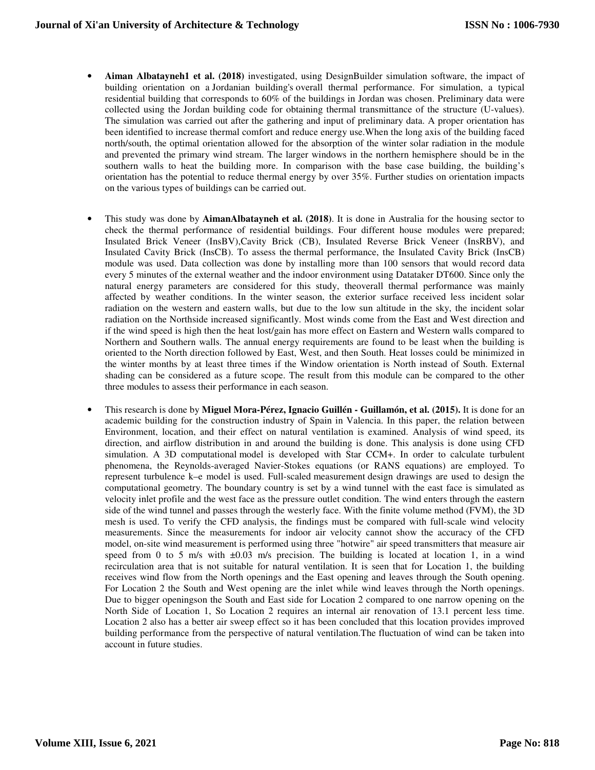- **Aiman Albatayneh1 et al. (2018)** investigated, using DesignBuilder simulation software, the impact of building orientation on a Jordanian building's overall thermal performance. For simulation, a typical residential building that corresponds to 60% of the buildings in Jordan was chosen. Preliminary data were collected using the Jordan building code for obtaining thermal transmittance of the structure (U-values). The simulation was carried out after the gathering and input of preliminary data. A proper orientation has been identified to increase thermal comfort and reduce energy use.When the long axis of the building faced north/south, the optimal orientation allowed for the absorption of the winter solar radiation in the module and prevented the primary wind stream. The larger windows in the northern hemisphere should be in the southern walls to heat the building more. In comparison with the base case building, the building's orientation has the potential to reduce thermal energy by over 35%. Further studies on orientation impacts on the various types of buildings can be carried out.
- This study was done by **AimanAlbatayneh et al. (2018)**. It is done in Australia for the housing sector to check the thermal performance of residential buildings. Four different house modules were prepared; Insulated Brick Veneer (InsBV),Cavity Brick (CB), Insulated Reverse Brick Veneer (InsRBV), and Insulated Cavity Brick (InsCB). To assess the thermal performance, the Insulated Cavity Brick (InsCB) module was used. Data collection was done by installing more than 100 sensors that would record data every 5 minutes of the external weather and the indoor environment using Datataker DT600. Since only the natural energy parameters are considered for this study, theoverall thermal performance was mainly affected by weather conditions. In the winter season, the exterior surface received less incident solar radiation on the western and eastern walls, but due to the low sun altitude in the sky, the incident solar radiation on the Northside increased significantly. Most winds come from the East and West direction and if the wind speed is high then the heat lost/gain has more effect on Eastern and Western walls compared to Northern and Southern walls. The annual energy requirements are found to be least when the building is oriented to the North direction followed by East, West, and then South. Heat losses could be minimized in the winter months by at least three times if the Window orientation is North instead of South. External shading can be considered as a future scope. The result from this module can be compared to the other three modules to assess their performance in each season.
- This research is done by **Miguel Mora-Pérez, Ignacio Guillén Guillamón, et al. (2015).** It is done for an academic building for the construction industry of Spain in Valencia. In this paper, the relation between Environment, location, and their effect on natural ventilation is examined. Analysis of wind speed, its direction, and airflow distribution in and around the building is done. This analysis is done using CFD simulation. A 3D computational model is developed with Star CCM+. In order to calculate turbulent phenomena, the Reynolds-averaged Navier-Stokes equations (or RANS equations) are employed. To represent turbulence k–e model is used. Full-scaled measurement design drawings are used to design the computational geometry. The boundary country is set by a wind tunnel with the east face is simulated as velocity inlet profile and the west face as the pressure outlet condition. The wind enters through the eastern side of the wind tunnel and passes through the westerly face. With the finite volume method (FVM), the 3D mesh is used. To verify the CFD analysis, the findings must be compared with full-scale wind velocity measurements. Since the measurements for indoor air velocity cannot show the accuracy of the CFD model, on-site wind measurement is performed using three "hotwire" air speed transmitters that measure air speed from 0 to 5 m/s with  $\pm 0.03$  m/s precision. The building is located at location 1, in a wind recirculation area that is not suitable for natural ventilation. It is seen that for Location 1, the building receives wind flow from the North openings and the East opening and leaves through the South opening. For Location 2 the South and West opening are the inlet while wind leaves through the North openings. Due to bigger openingson the South and East side for Location 2 compared to one narrow opening on the North Side of Location 1, So Location 2 requires an internal air renovation of 13.1 percent less time. Location 2 also has a better air sweep effect so it has been concluded that this location provides improved building performance from the perspective of natural ventilation.The fluctuation of wind can be taken into account in future studies.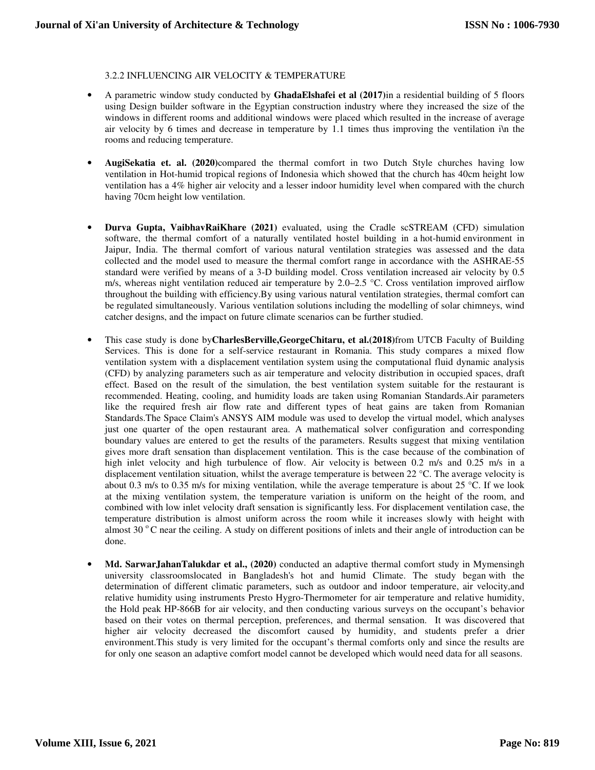### 3.2.2 INFLUENCING AIR VELOCITY & TEMPERATURE

- A parametric window study conducted by **GhadaElshafei et al (2017)**in a residential building of 5 floors using Design builder software in the Egyptian construction industry where they increased the size of the windows in different rooms and additional windows were placed which resulted in the increase of average air velocity by 6 times and decrease in temperature by 1.1 times thus improving the ventilation i\n the rooms and reducing temperature.
- **AugiSekatia et. al. (2020)**compared the thermal comfort in two Dutch Style churches having low ventilation in Hot-humid tropical regions of Indonesia which showed that the church has 40cm height low ventilation has a 4% higher air velocity and a lesser indoor humidity level when compared with the church having 70cm height low ventilation.
- **Durva Gupta, VaibhavRaiKhare (2021)** evaluated, using the Cradle scSTREAM (CFD) simulation software, the thermal comfort of a naturally ventilated hostel building in a hot-humid environment in Jaipur, India. The thermal comfort of various natural ventilation strategies was assessed and the data collected and the model used to measure the thermal comfort range in accordance with the ASHRAE-55 standard were verified by means of a 3-D building model. Cross ventilation increased air velocity by 0.5 m/s, whereas night ventilation reduced air temperature by  $2.0-2.5$  °C. Cross ventilation improved airflow throughout the building with efficiency.By using various natural ventilation strategies, thermal comfort can be regulated simultaneously. Various ventilation solutions including the modelling of solar chimneys, wind catcher designs, and the impact on future climate scenarios can be further studied.
- This case study is done by**CharlesBerville,GeorgeChitaru, et al.(2018)**from UTCB Faculty of Building Services. This is done for a self-service restaurant in Romania. This study compares a mixed flow ventilation system with a displacement ventilation system using the computational fluid dynamic analysis (CFD) by analyzing parameters such as air temperature and velocity distribution in occupied spaces, draft effect. Based on the result of the simulation, the best ventilation system suitable for the restaurant is recommended. Heating, cooling, and humidity loads are taken using Romanian Standards.Air parameters like the required fresh air flow rate and different types of heat gains are taken from Romanian Standards.The Space Claim's ANSYS AIM module was used to develop the virtual model, which analyses just one quarter of the open restaurant area. A mathematical solver configuration and corresponding boundary values are entered to get the results of the parameters. Results suggest that mixing ventilation gives more draft sensation than displacement ventilation. This is the case because of the combination of high inlet velocity and high turbulence of flow. Air velocity is between 0.2 m/s and 0.25 m/s in a displacement ventilation situation, whilst the average temperature is between 22 °C. The average velocity is about 0.3 m/s to 0.35 m/s for mixing ventilation, while the average temperature is about 25 °C. If we look at the mixing ventilation system, the temperature variation is uniform on the height of the room, and combined with low inlet velocity draft sensation is significantly less. For displacement ventilation case, the temperature distribution is almost uniform across the room while it increases slowly with height with almost 30 °C near the ceiling. A study on different positions of inlets and their angle of introduction can be done.
- **Md. SarwarJahanTalukdar et al., (2020)** conducted an adaptive thermal comfort study in Mymensingh university classroomslocated in Bangladesh's hot and humid Climate. The study began with the determination of different climatic parameters, such as outdoor and indoor temperature, air velocity,and relative humidity using instruments Presto Hygro-Thermometer for air temperature and relative humidity, the Hold peak HP-866B for air velocity, and then conducting various surveys on the occupant's behavior based on their votes on thermal perception, preferences, and thermal sensation. It was discovered that higher air velocity decreased the discomfort caused by humidity, and students prefer a drier environment.This study is very limited for the occupant's thermal comforts only and since the results are for only one season an adaptive comfort model cannot be developed which would need data for all seasons.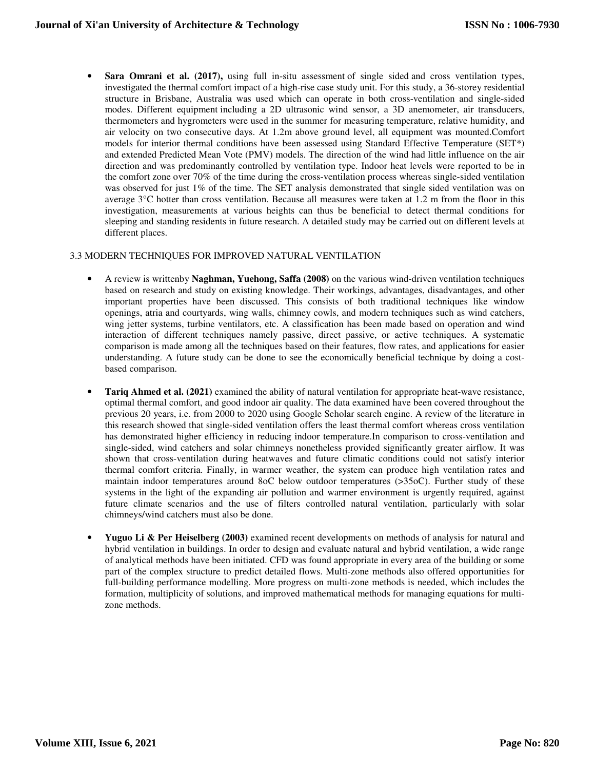**Sara Omrani et al. (2017),** using full in-situ assessment of single sided and cross ventilation types, investigated the thermal comfort impact of a high-rise case study unit. For this study, a 36-storey residential structure in Brisbane, Australia was used which can operate in both cross-ventilation and single-sided modes. Different equipment including a 2D ultrasonic wind sensor, a 3D anemometer, air transducers, thermometers and hygrometers were used in the summer for measuring temperature, relative humidity, and air velocity on two consecutive days. At 1.2m above ground level, all equipment was mounted.Comfort models for interior thermal conditions have been assessed using Standard Effective Temperature (SET\*) and extended Predicted Mean Vote (PMV) models. The direction of the wind had little influence on the air direction and was predominantly controlled by ventilation type. Indoor heat levels were reported to be in the comfort zone over 70% of the time during the cross-ventilation process whereas single-sided ventilation was observed for just 1% of the time. The SET analysis demonstrated that single sided ventilation was on average 3°C hotter than cross ventilation. Because all measures were taken at 1.2 m from the floor in this investigation, measurements at various heights can thus be beneficial to detect thermal conditions for sleeping and standing residents in future research. A detailed study may be carried out on different levels at different places.

### 3.3 MODERN TECHNIQUES FOR IMPROVED NATURAL VENTILATION

- A review is writtenby **Naghman, Yuehong, Saffa (2008)** on the various wind-driven ventilation techniques based on research and study on existing knowledge. Their workings, advantages, disadvantages, and other important properties have been discussed. This consists of both traditional techniques like window openings, atria and courtyards, wing walls, chimney cowls, and modern techniques such as wind catchers, wing jetter systems, turbine ventilators, etc. A classification has been made based on operation and wind interaction of different techniques namely passive, direct passive, or active techniques. A systematic comparison is made among all the techniques based on their features, flow rates, and applications for easier understanding. A future study can be done to see the economically beneficial technique by doing a costbased comparison.
- **Tariq Ahmed et al. (2021)** examined the ability of natural ventilation for appropriate heat-wave resistance, optimal thermal comfort, and good indoor air quality. The data examined have been covered throughout the previous 20 years, i.e. from 2000 to 2020 using Google Scholar search engine. A review of the literature in this research showed that single-sided ventilation offers the least thermal comfort whereas cross ventilation has demonstrated higher efficiency in reducing indoor temperature.In comparison to cross-ventilation and single-sided, wind catchers and solar chimneys nonetheless provided significantly greater airflow. It was shown that cross-ventilation during heatwaves and future climatic conditions could not satisfy interior thermal comfort criteria. Finally, in warmer weather, the system can produce high ventilation rates and maintain indoor temperatures around 8oC below outdoor temperatures (>35oC). Further study of these systems in the light of the expanding air pollution and warmer environment is urgently required, against future climate scenarios and the use of filters controlled natural ventilation, particularly with solar chimneys/wind catchers must also be done.
- **Yuguo Li & Per Heiselberg (2003)** examined recent developments on methods of analysis for natural and hybrid ventilation in buildings. In order to design and evaluate natural and hybrid ventilation, a wide range of analytical methods have been initiated. CFD was found appropriate in every area of the building or some part of the complex structure to predict detailed flows. Multi-zone methods also offered opportunities for full-building performance modelling. More progress on multi-zone methods is needed, which includes the formation, multiplicity of solutions, and improved mathematical methods for managing equations for multizone methods.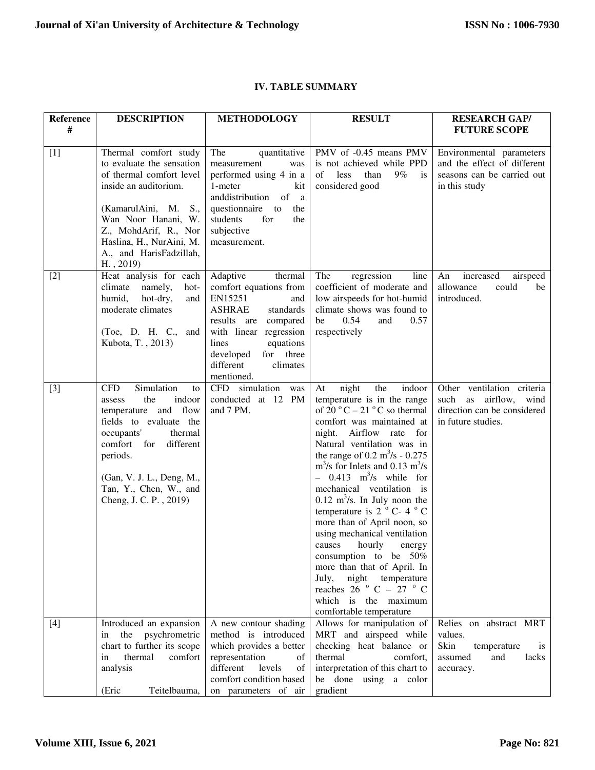**Reference**

| $\#$  |                                                                                                                                                                                                                                                                  |                                                                                                                                                                                                                                           |                                                                                                                                                                                                                                                                                                                                                                                                                                                                                                                                                                                                                                                                                                                                                                                    | <b>FUTURE SCOPE</b>                                                                                            |
|-------|------------------------------------------------------------------------------------------------------------------------------------------------------------------------------------------------------------------------------------------------------------------|-------------------------------------------------------------------------------------------------------------------------------------------------------------------------------------------------------------------------------------------|------------------------------------------------------------------------------------------------------------------------------------------------------------------------------------------------------------------------------------------------------------------------------------------------------------------------------------------------------------------------------------------------------------------------------------------------------------------------------------------------------------------------------------------------------------------------------------------------------------------------------------------------------------------------------------------------------------------------------------------------------------------------------------|----------------------------------------------------------------------------------------------------------------|
| $[1]$ | Thermal comfort study<br>to evaluate the sensation<br>of thermal comfort level<br>inside an auditorium.<br>(KamarulAini, M.<br>S.,<br>Wan Noor Hanani, W.<br>Z., MohdArif, R., Nor<br>Haslina, H., NurAini, M.<br>A., and HarisFadzillah,<br>$H.$ , 2019)        | The<br>quantitative<br>measurement<br>was<br>performed using 4 in a<br>1-meter<br>kit<br>anddistribution<br>of<br><sub>a</sub><br>questionnaire to<br>the<br>students<br>for<br>the<br>subjective<br>measurement.                         | PMV of -0.45 means PMV<br>is not achieved while PPD<br>of<br>$9\%$<br>less<br>than<br>is<br>considered good                                                                                                                                                                                                                                                                                                                                                                                                                                                                                                                                                                                                                                                                        | Environmental parameters<br>and the effect of different<br>seasons can be carried out<br>in this study         |
| $[2]$ | Heat analysis for each<br>namely,<br>climate<br>hot-<br>humid,<br>hot-dry,<br>and<br>moderate climates<br>(Toe, D. H. C., and<br>Kubota, T., 2013)                                                                                                               | Adaptive<br>thermal<br>comfort equations from<br>EN15251<br>and<br><b>ASHRAE</b><br>standards<br>results are<br>compared<br>with linear regression<br>equations<br>lines<br>developed<br>for three<br>different<br>climates<br>mentioned. | The<br>regression<br>line<br>coefficient of moderate and<br>low airspeeds for hot-humid<br>climate shows was found to<br>0.54<br>be<br>and<br>0.57<br>respectively                                                                                                                                                                                                                                                                                                                                                                                                                                                                                                                                                                                                                 | increased<br>An<br>airspeed<br>allowance<br>could<br>be<br>introduced.                                         |
| $[3]$ | Simulation<br><b>CFD</b><br>to<br>the<br>indoor<br>assess<br>and flow<br>temperature<br>fields to evaluate the<br>occupants'<br>thermal<br>comfort for<br>different<br>periods.<br>(Gan, V. J. L., Deng, M.,<br>Tan, Y., Chen, W., and<br>Cheng, J. C. P., 2019) | CFD simulation<br>was<br>conducted at 12 PM<br>and 7 PM.                                                                                                                                                                                  | night<br>the<br>indoor<br>At<br>temperature is in the range<br>of 20 $\mathrm{^{\circ}C}$ – 21 $\mathrm{^{\circ}C}$ so thermal<br>comfort was maintained at<br>night. Airflow rate<br>for<br>Natural ventilation was in<br>the range of 0.2 $m^3/s$ - 0.275<br>$\text{m}^3\text{/s}$ for Inlets and 0.13 m <sup>3</sup> /s<br>$-$ 0.413 m <sup>3</sup> /s while for<br>mechanical ventilation is<br>$0.12 \text{ m}^3\text{/s}$ . In July noon the<br>temperature is $2^{\circ}$ C-4 $^{\circ}$ C<br>more than of April noon, so<br>using mechanical ventilation<br>causes<br>hourly<br>energy<br>consumption to be 50%<br>more than that of April. In<br>July,<br>night temperature<br>reaches 26 $\degree$ C – 27 $\degree$ C<br>which is the maximum<br>comfortable temperature | Other ventilation criteria<br>airflow,<br>such as<br>wind<br>direction can be considered<br>in future studies. |
| $[4]$ | Introduced an expansion<br>psychrometric<br>the<br>in<br>chart to further its scope                                                                                                                                                                              | A new contour shading<br>method is introduced<br>which provides a better                                                                                                                                                                  | Allows for manipulation of<br>MRT and airspeed while<br>checking heat balance or                                                                                                                                                                                                                                                                                                                                                                                                                                                                                                                                                                                                                                                                                                   | Relies on abstract MRT<br>values.<br>Skin<br>temperature<br><i>is</i>                                          |
|       | thermal<br>comfort<br>in<br>analysis<br>(Eric<br>Teitelbauma,                                                                                                                                                                                                    | representation<br>of<br>different<br>levels<br>of<br>comfort condition based<br>on parameters of air                                                                                                                                      | thermal<br>comfort,<br>interpretation of this chart to<br>be done using a color<br>gradient                                                                                                                                                                                                                                                                                                                                                                                                                                                                                                                                                                                                                                                                                        | assumed<br>and<br>lacks<br>accuracy.                                                                           |
|       |                                                                                                                                                                                                                                                                  |                                                                                                                                                                                                                                           |                                                                                                                                                                                                                                                                                                                                                                                                                                                                                                                                                                                                                                                                                                                                                                                    |                                                                                                                |

## **IV. TABLE SUMMARY**

**DESCRIPTION METHODOLOGY RESULT RESEARCH GAP/**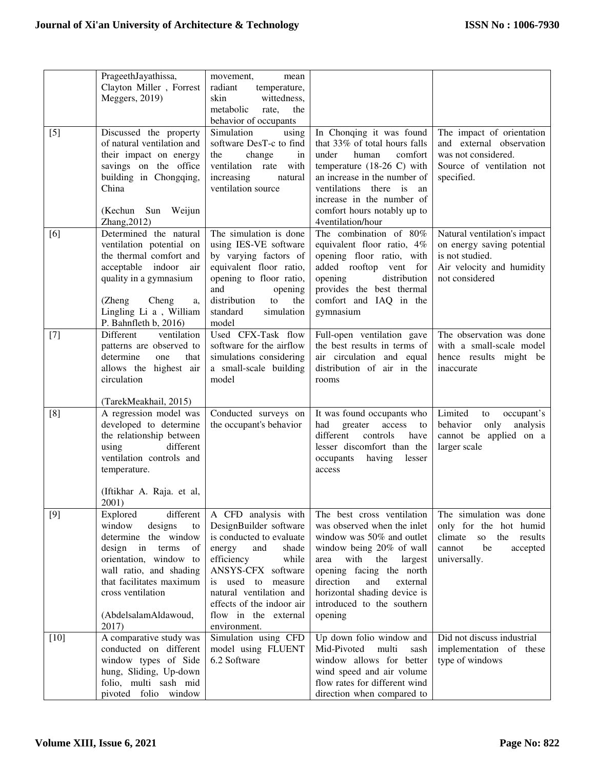|        | PrageethJayathissa,<br>Clayton Miller, Forrest      | movement,<br>mean<br>radiant<br>temperature,       |                                                                 |                                                                  |
|--------|-----------------------------------------------------|----------------------------------------------------|-----------------------------------------------------------------|------------------------------------------------------------------|
|        | Meggers, 2019)                                      | skin<br>wittedness,                                |                                                                 |                                                                  |
|        |                                                     | metabolic<br>the<br>rate,                          |                                                                 |                                                                  |
| $[5]$  | Discussed the property                              | behavior of occupants<br>Simulation<br>using       | In Chonqing it was found                                        | The impact of orientation                                        |
|        | of natural ventilation and                          | software DesT-c to find                            | that 33% of total hours falls                                   | and external observation                                         |
|        | their impact on energy                              | change<br>the<br>in                                | comfort<br>under<br>human                                       | was not considered.                                              |
|        | savings on the office                               | ventilation rate with                              | temperature $(18-26)$ with                                      | Source of ventilation not                                        |
|        | building in Chongqing,<br>China                     | increasing<br>natural                              | an increase in the number of                                    | specified.                                                       |
|        |                                                     | ventilation source                                 | ventilations<br>there is<br>an<br>increase in the number of     |                                                                  |
|        | (Kechun Sun Weijun                                  |                                                    | comfort hours notably up to                                     |                                                                  |
|        | Zhang, 2012)                                        |                                                    | 4ventilation/hour                                               |                                                                  |
| [6]    | Determined the natural                              | The simulation is done                             | The combination of 80%                                          | Natural ventilation's impact                                     |
|        | ventilation potential on                            | using IES-VE software                              | equivalent floor ratio, 4%                                      | on energy saving potential                                       |
|        | the thermal comfort and<br>acceptable indoor<br>air | by varying factors of<br>equivalent floor ratio,   | opening floor ratio, with<br>added rooftop vent for             | is not studied.<br>Air velocity and humidity                     |
|        | quality in a gymnasium                              | opening to floor ratio,                            | opening<br>distribution                                         | not considered                                                   |
|        |                                                     | and<br>opening                                     | provides the best thermal                                       |                                                                  |
|        | Cheng<br>(Zheng<br>a,                               | distribution<br>the<br>to                          | comfort and IAQ in the                                          |                                                                  |
|        | Lingling Li a, William<br>P. Bahnfleth b, 2016)     | standard<br>simulation<br>model                    | gymnasium                                                       |                                                                  |
| $[7]$  | Different<br>ventilation                            | Used CFX-Task flow                                 | Full-open ventilation gave                                      | The observation was done                                         |
|        | patterns are observed to                            | software for the airflow                           | the best results in terms of                                    | with a small-scale model                                         |
|        | determine<br>one<br>that                            | simulations considering                            | air circulation and equal                                       | hence results might be                                           |
|        | allows the highest air<br>circulation               | a small-scale building<br>model                    | distribution of air in the<br>rooms                             | inaccurate                                                       |
|        |                                                     |                                                    |                                                                 |                                                                  |
|        | (TarekMeakhail, 2015)                               |                                                    |                                                                 |                                                                  |
| [8]    | A regression model was                              | Conducted surveys on                               | It was found occupants who                                      | Limited<br>occupant's<br>to                                      |
|        | developed to determine<br>the relationship between  | the occupant's behavior                            | had<br>greater<br>access<br>to<br>different<br>controls<br>have | behavior<br>only<br>analysis<br>cannot be applied on a           |
|        | different<br>using                                  |                                                    | lesser discomfort than the                                      | larger scale                                                     |
|        | ventilation controls and                            |                                                    | occupants<br>having<br>lesser                                   |                                                                  |
|        | temperature.                                        |                                                    | access                                                          |                                                                  |
|        | (Iftikhar A. Raja. et al,                           |                                                    |                                                                 |                                                                  |
|        | 2001)                                               |                                                    |                                                                 |                                                                  |
| [9]    | different<br>Explored                               | A CFD analysis with                                | The best cross ventilation                                      | The simulation was done                                          |
|        | window<br>designs<br>to                             | DesignBuilder software                             | was observed when the inlet                                     | only for the hot humid                                           |
|        | determine the window<br>design in terms<br>of       | is conducted to evaluate<br>energy<br>and<br>shade | window was 50% and outlet<br>window being 20% of wall           | climate<br>${\bf SO}$<br>the results<br>be<br>cannot<br>accepted |
|        | orientation, window to                              | efficiency<br>while                                | with<br>the<br>largest<br>area                                  | universally.                                                     |
|        | wall ratio, and shading                             | ANSYS-CFX software                                 | opening facing the north                                        |                                                                  |
|        | that facilitates maximum                            | is used to measure                                 | direction<br>and<br>external                                    |                                                                  |
|        | cross ventilation                                   | natural ventilation and                            | horizontal shading device is                                    |                                                                  |
|        | (AbdelsalamAldawoud,                                | effects of the indoor air<br>flow in the external  | introduced to the southern<br>opening                           |                                                                  |
|        | 2017)                                               | environment.                                       |                                                                 |                                                                  |
| $[10]$ | A comparative study was                             | Simulation using CFD                               | Up down folio window and                                        | Did not discuss industrial                                       |
|        | conducted on different                              | model using FLUENT                                 | Mid-Pivoted<br>multi<br>sash                                    | implementation of these                                          |
|        | window types of Side                                | 6.2 Software                                       | window allows for better<br>wind speed and air volume           | type of windows                                                  |
|        | hung, Sliding, Up-down<br>folio, multi sash mid     |                                                    | flow rates for different wind                                   |                                                                  |
|        | pivoted folio window                                |                                                    | direction when compared to                                      |                                                                  |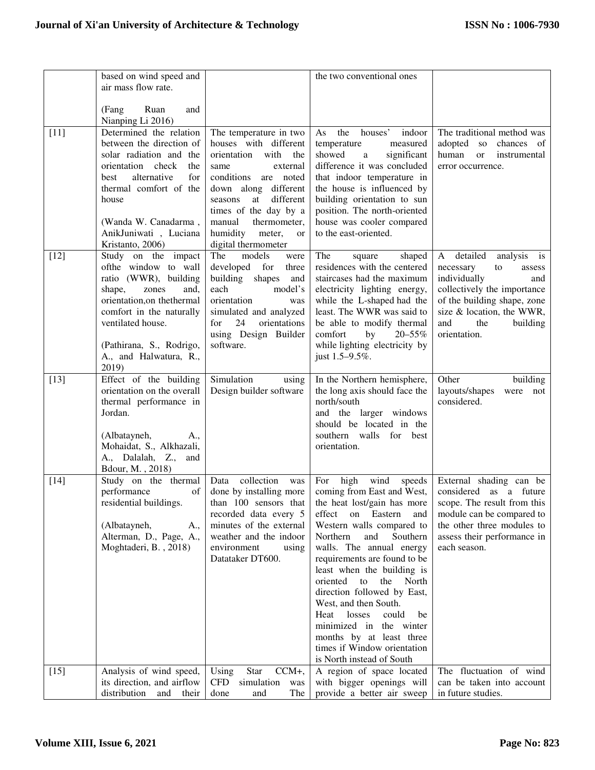|        | based on wind speed and                             |                                                     | the two conventional ones                                                       |                                                     |
|--------|-----------------------------------------------------|-----------------------------------------------------|---------------------------------------------------------------------------------|-----------------------------------------------------|
|        | air mass flow rate.                                 |                                                     |                                                                                 |                                                     |
|        |                                                     |                                                     |                                                                                 |                                                     |
|        | (Fang<br>Ruan<br>and<br>Nianping Li 2016)           |                                                     |                                                                                 |                                                     |
| $[11]$ | Determined the relation                             | The temperature in two                              | the<br>houses'<br>As<br>indoor                                                  | The traditional method was                          |
|        | between the direction of                            | houses with different                               | temperature<br>measured                                                         | adopted so<br>chances of                            |
|        | solar radiation and the<br>orientation check<br>the | orientation<br>with<br>the<br>same<br>external      | showed<br>significant<br>$\rm{a}$<br>difference it was concluded                | human<br>or<br>instrumental<br>error occurrence.    |
|        | alternative<br>for<br>best                          | conditions are noted                                | that indoor temperature in                                                      |                                                     |
|        | thermal comfort of the                              | down along different                                | the house is influenced by                                                      |                                                     |
|        | house                                               | seasons<br>different<br>at                          | building orientation to sun                                                     |                                                     |
|        |                                                     | times of the day by a<br>manual<br>thermometer,     | position. The north-oriented                                                    |                                                     |
|        | (Wanda W. Canadarma,<br>AnikJuniwati, Luciana       | humidity<br>meter,<br><b>or</b>                     | house was cooler compared<br>to the east-oriented.                              |                                                     |
|        | Kristanto, 2006)                                    | digital thermometer                                 |                                                                                 |                                                     |
| $[12]$ | Study on the impact                                 | The<br>models<br>were                               | The<br>shaped<br>square                                                         | A detailed<br>analysis is                           |
|        | ofthe window to wall<br>ratio (WWR), building       | developed for<br>three<br>building shapes<br>and    | residences with the centered<br>staircases had the maximum                      | necessary<br>to<br>assess<br>individually<br>and    |
|        | shape,<br>zones<br>and,                             | each<br>model's                                     | electricity lighting energy,                                                    | collectively the importance                         |
|        | orientation, on the thermal                         | orientation<br>was                                  | while the L-shaped had the                                                      | of the building shape, zone                         |
|        | comfort in the naturally<br>ventilated house.       | simulated and analyzed<br>24<br>for<br>orientations | least. The WWR was said to<br>be able to modify thermal                         | size & location, the WWR,<br>and<br>the<br>building |
|        |                                                     | using Design Builder                                | comfort<br>by<br>$20 - 55\%$                                                    | orientation.                                        |
|        | (Pathirana, S., Rodrigo,                            | software.                                           | while lighting electricity by                                                   |                                                     |
|        | A., and Halwatura, R.,                              |                                                     | just 1.5–9.5%.                                                                  |                                                     |
| $[13]$ | 2019)<br>Effect of the building                     | Simulation<br>using                                 | In the Northern hemisphere,                                                     | building<br>Other                                   |
|        | orientation on the overall                          | Design builder software                             | the long axis should face the                                                   | layouts/shapes<br>were not                          |
|        | thermal performance in                              |                                                     | north/south                                                                     | considered.                                         |
|        | Jordan.                                             |                                                     | and the larger windows                                                          |                                                     |
|        | (Albatayneh,<br>A.,                                 |                                                     | should be located in the<br>southern walls for best                             |                                                     |
|        | Mohaidat, S., Alkhazali,                            |                                                     | orientation.                                                                    |                                                     |
|        | A., Dalalah, Z., and                                |                                                     |                                                                                 |                                                     |
|        | Bdour, M., 2018)                                    | Data collection                                     |                                                                                 |                                                     |
| $[14]$ | Study on the thermal<br>of<br>performance           | was<br>done by installing more                      | For high<br>wind<br>speeds<br>coming from East and West,                        | External shading can be<br>considered as a future   |
|        | residential buildings.                              |                                                     | than $100$ sensors that the heat lost/gain has more scope. The result from this |                                                     |
|        |                                                     | recorded data every 5                               | effect on Eastern<br>and                                                        | module can be compared to                           |
|        | (Albatayneh,<br>A.,<br>Alterman, D., Page, A.,      | minutes of the external                             | Western walls compared to<br>Northern                                           | the other three modules to                          |
|        | Moghtaderi, B., 2018)                               | weather and the indoor<br>environment<br>using      | and<br>Southern<br>walls. The annual energy                                     | assess their performance in<br>each season.         |
|        |                                                     | Datataker DT600.                                    | requirements are found to be                                                    |                                                     |
|        |                                                     |                                                     | least when the building is                                                      |                                                     |
|        |                                                     |                                                     | oriented<br>to<br>the North                                                     |                                                     |
|        |                                                     |                                                     | direction followed by East,<br>West, and then South.                            |                                                     |
|        |                                                     |                                                     | Heat<br>losses<br>could<br>be                                                   |                                                     |
|        |                                                     |                                                     | minimized in the winter                                                         |                                                     |
|        |                                                     |                                                     | months by at least three<br>times if Window orientation                         |                                                     |
|        |                                                     |                                                     | is North instead of South                                                       |                                                     |
| $[15]$ | Analysis of wind speed,                             | Star<br>Using<br>$CCM+$ ,                           | A region of space located                                                       | The fluctuation of wind                             |
|        | its direction, and airflow                          | <b>CFD</b><br>simulation<br>was                     | with bigger openings will                                                       | can be taken into account                           |
|        | distribution<br>and<br>their                        | done<br>The<br>and                                  | provide a better air sweep                                                      | in future studies.                                  |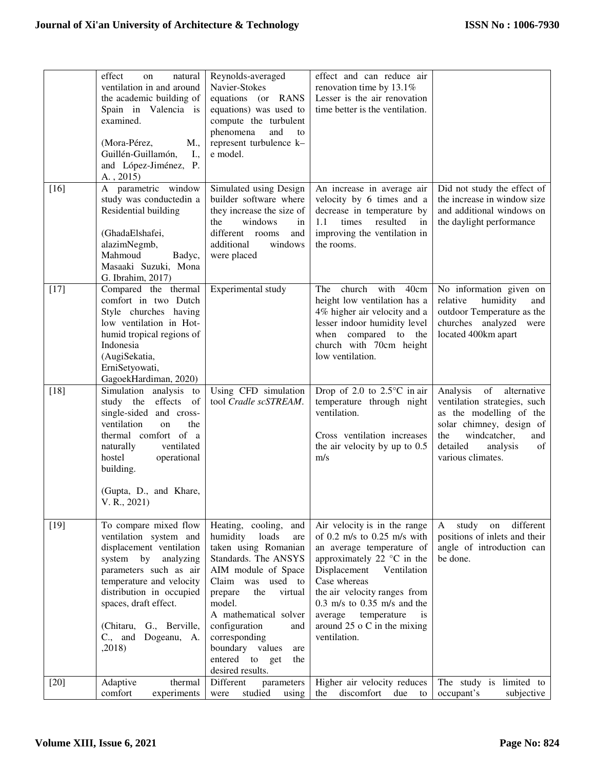|        | effect<br>natural<br>on<br>ventilation in and around<br>the academic building of<br>Spain in Valencia is<br>examined.<br>(Mora-Pérez,<br>M.,<br>Guillén-Guillamón,<br>I.,                                                                                                    | Reynolds-averaged<br>Navier-Stokes<br>equations (or RANS<br>equations) was used to<br>compute the turbulent<br>phenomena<br>and<br>to<br>represent turbulence k-<br>e model.                                                                                                                                                     | effect and can reduce air<br>renovation time by 13.1%<br>Lesser is the air renovation<br>time better is the ventilation.                                                                                                                                                                                                           |                                                                                                                                                                                                       |
|--------|------------------------------------------------------------------------------------------------------------------------------------------------------------------------------------------------------------------------------------------------------------------------------|----------------------------------------------------------------------------------------------------------------------------------------------------------------------------------------------------------------------------------------------------------------------------------------------------------------------------------|------------------------------------------------------------------------------------------------------------------------------------------------------------------------------------------------------------------------------------------------------------------------------------------------------------------------------------|-------------------------------------------------------------------------------------------------------------------------------------------------------------------------------------------------------|
|        | and López-Jiménez, P.<br>$A.$ , 2015)                                                                                                                                                                                                                                        |                                                                                                                                                                                                                                                                                                                                  |                                                                                                                                                                                                                                                                                                                                    |                                                                                                                                                                                                       |
| $[16]$ | A parametric window<br>study was conductedin a<br>Residential building<br>(GhadaElshafei,<br>alazimNegmb,                                                                                                                                                                    | Simulated using Design<br>builder software where<br>they increase the size of<br>the<br>windows<br>in<br>different rooms<br>and<br>additional<br>windows                                                                                                                                                                         | An increase in average air<br>velocity by 6 times and a<br>decrease in temperature by<br>resulted<br>1.1<br>times<br>in<br>improving the ventilation in<br>the rooms.                                                                                                                                                              | Did not study the effect of<br>the increase in window size<br>and additional windows on<br>the daylight performance                                                                                   |
|        | Mahmoud<br>Badyc,<br>Masaaki Suzuki, Mona<br>G. Ibrahim, 2017)                                                                                                                                                                                                               | were placed                                                                                                                                                                                                                                                                                                                      |                                                                                                                                                                                                                                                                                                                                    |                                                                                                                                                                                                       |
| $[17]$ | Compared the thermal<br>comfort in two Dutch<br>Style churches having<br>low ventilation in Hot-<br>humid tropical regions of<br>Indonesia<br>(AugiSekatia,<br>ErniSetyowati,<br>GagoekHardiman, 2020)                                                                       | Experimental study                                                                                                                                                                                                                                                                                                               | church<br>with<br>40cm<br>The<br>height low ventilation has a<br>4% higher air velocity and a<br>lesser indoor humidity level<br>when compared to the<br>church with 70cm height<br>low ventilation.                                                                                                                               | No information given on<br>humidity<br>relative<br>and<br>outdoor Temperature as the<br>churches analyzed<br>were<br>located 400km apart                                                              |
| $[18]$ | Simulation analysis<br>to<br>study the effects of<br>single-sided and cross-<br>ventilation<br>on<br>the<br>thermal comfort of a<br>naturally<br>ventilated<br>hostel<br>operational<br>building.<br>(Gupta, D., and Khare,<br>V. R., 2021)                                  | Using CFD simulation<br>tool Cradle scSTREAM.                                                                                                                                                                                                                                                                                    | Drop of 2.0 to $2.5^{\circ}$ C in air<br>temperature through night<br>ventilation.<br>Cross ventilation increases<br>the air velocity by up to $0.5$<br>m/s                                                                                                                                                                        | Analysis<br>of<br>alternative<br>ventilation strategies, such<br>as the modelling of the<br>solar chimney, design of<br>windcatcher,<br>the<br>and<br>detailed<br>analysis<br>of<br>various climates. |
| $[19]$ | To compare mixed flow<br>ventilation system and<br>displacement ventilation<br>system by<br>analyzing<br>parameters such as air<br>temperature and velocity<br>distribution in occupied<br>spaces, draft effect.<br>(Chitaru, G., Berville,<br>C., and Dogeanu, A.<br>,2018) | Heating, cooling,<br>and<br>humidity<br>loads<br>are<br>taken using Romanian<br>Standards. The ANSYS<br>AIM module of Space<br>Claim was used to<br>prepare<br>the<br>virtual<br>model.<br>A mathematical solver<br>configuration<br>and<br>corresponding<br>boundary values<br>are<br>entered to get<br>the<br>desired results. | Air velocity is in the range<br>of 0.2 m/s to 0.25 m/s with<br>an average temperature of<br>approximately 22 $\degree$ C in the<br>Displacement<br>Ventilation<br>Case whereas<br>the air velocity ranges from<br>$0.3$ m/s to $0.35$ m/s and the<br>average<br>temperature<br>is<br>around $25$ o C in the mixing<br>ventilation. | study<br>different<br>A<br>on<br>positions of inlets and their<br>angle of introduction can<br>be done.                                                                                               |
| $[20]$ | thermal<br>Adaptive<br>comfort<br>experiments                                                                                                                                                                                                                                | Different<br>parameters<br>studied<br>using<br>were                                                                                                                                                                                                                                                                              | Higher air velocity reduces<br>the<br>discomfort due<br>to                                                                                                                                                                                                                                                                         | The study is limited to<br>occupant's<br>subjective                                                                                                                                                   |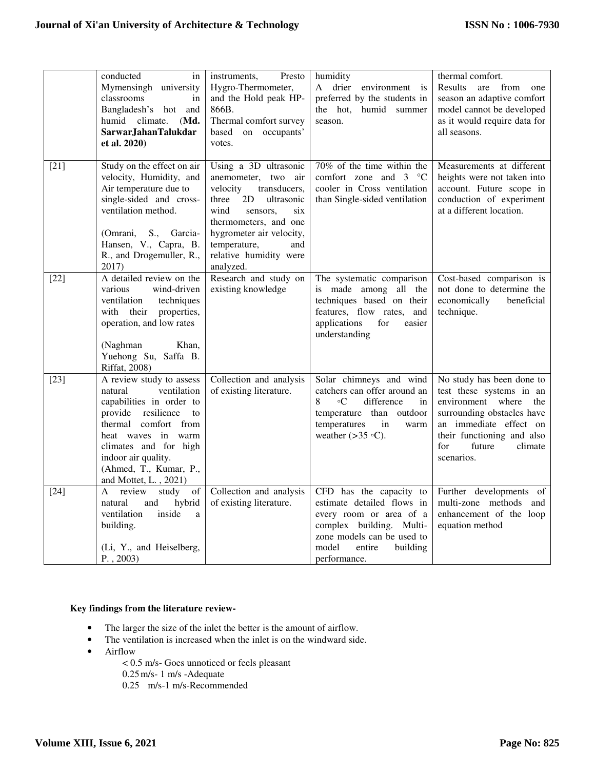|        | conducted<br>in<br>Mymensingh university<br>classrooms<br>in<br>Bangladesh's hot and<br>humid climate.<br>(Md.<br>SarwarJahanTalukdar<br>et al. 2020)                                                                                                       | Presto<br>instruments,<br>Hygro-Thermometer,<br>and the Hold peak HP-<br>866B.<br>Thermal comfort survey<br>based on occupants'<br>votes.                                                                                                           | humidity<br>A drier environment is<br>preferred by the students in<br>the hot, humid summer<br>season.                                                                                    | thermal comfort.<br>Results<br>are<br>from<br>one<br>season an adaptive comfort<br>model cannot be developed<br>as it would require data for<br>all seasons.                                                      |
|--------|-------------------------------------------------------------------------------------------------------------------------------------------------------------------------------------------------------------------------------------------------------------|-----------------------------------------------------------------------------------------------------------------------------------------------------------------------------------------------------------------------------------------------------|-------------------------------------------------------------------------------------------------------------------------------------------------------------------------------------------|-------------------------------------------------------------------------------------------------------------------------------------------------------------------------------------------------------------------|
| $[21]$ | Study on the effect on air<br>velocity, Humidity, and<br>Air temperature due to<br>single-sided and cross-<br>ventilation method.<br>(Omrani,<br>S., Garcia-<br>Hansen, V., Capra, B.<br>R., and Drogemuller, R.,<br>2017)                                  | Using a 3D ultrasonic<br>anemometer, two air<br>velocity<br>transducers,<br>2D<br>three<br>ultrasonic<br>wind<br>six<br>sensors,<br>thermometers, and one<br>hygrometer air velocity,<br>temperature,<br>and<br>relative humidity were<br>analyzed. | 70% of the time within the<br>comfort zone and $3 \degree$ C<br>cooler in Cross ventilation<br>than Single-sided ventilation                                                              | Measurements at different<br>heights were not taken into<br>account. Future scope in<br>conduction of experiment<br>at a different location.                                                                      |
| $[22]$ | A detailed review on the<br>various<br>wind-driven<br>ventilation<br>techniques<br>with their properties,<br>operation, and low rates<br>(Naghman)<br>Khan,<br>Yuehong Su, Saffa B.<br><b>Riffat</b> , 2008)                                                | Research and study on<br>existing knowledge                                                                                                                                                                                                         | The systematic comparison<br>is made among all the<br>techniques based on their<br>features, flow rates,<br>and<br>applications<br>for<br>easier<br>understanding                         | Cost-based comparison is<br>not done to determine the<br>economically<br>beneficial<br>technique.                                                                                                                 |
| $[23]$ | A review study to assess<br>ventilation<br>natural<br>capabilities in order to<br>provide resilience<br>to<br>thermal comfort from<br>heat waves in warm<br>climates and for high<br>indoor air quality.<br>(Ahmed, T., Kumar, P.,<br>and Mottet, L., 2021) | Collection and analysis<br>of existing literature.                                                                                                                                                                                                  | Solar chimneys and wind<br>catchers can offer around an<br>difference<br>8<br>$\circ$ C<br>in<br>temperature than outdoor<br>temperatures<br>in<br>warm<br>weather $(>35 \text{ °C})$ .   | No study has been done to<br>test these systems in an<br>environment where<br>the<br>surrounding obstacles have<br>an immediate effect on<br>their functioning and also<br>for<br>future<br>climate<br>scenarios. |
| $[24]$ | of<br>A<br>review<br>study<br>and<br>hybrid<br>natural<br>ventilation<br>inside<br>a<br>building.<br>(Li, Y., and Heiselberg,<br>$P.$ , 2003)                                                                                                               | Collection and analysis<br>of existing literature.                                                                                                                                                                                                  | CFD has the capacity to<br>estimate detailed flows in<br>every room or area of a<br>complex building. Multi-<br>zone models can be used to<br>model<br>entire<br>building<br>performance. | Further developments of<br>multi-zone methods and<br>enhancement of the loop<br>equation method                                                                                                                   |

# **Key findings from the literature review-**

- The larger the size of the inlet the better is the amount of airflow.
- The ventilation is increased when the inlet is on the windward side.
- Airflow
	- < 0.5 m/s- Goes unnoticed or feels pleasant
	- 0.25m/s- 1 m/s -Adequate
	- 0.25 m/s-1 m/s-Recommended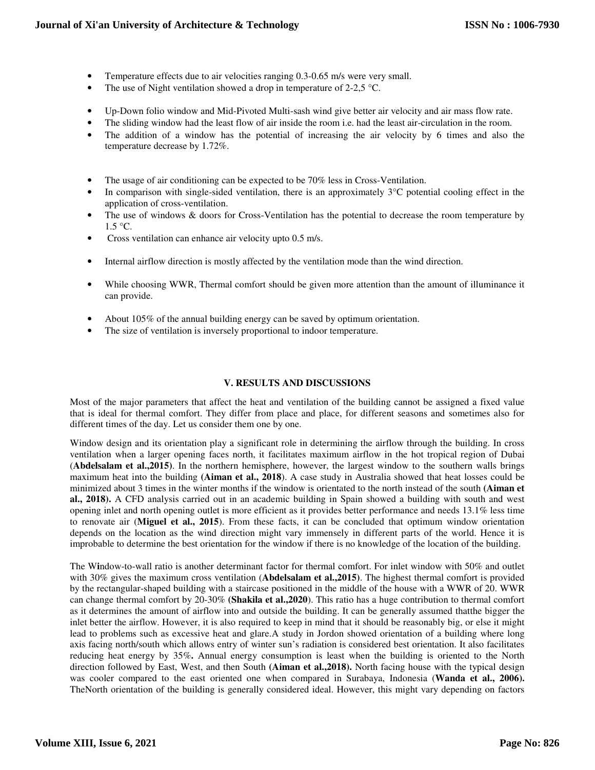- Temperature effects due to air velocities ranging 0.3-0.65 m/s were very small.
- The use of Night ventilation showed a drop in temperature of 2-2,5  $\degree$ C.
- Up-Down folio window and Mid-Pivoted Multi-sash wind give better air velocity and air mass flow rate.
- The sliding window had the least flow of air inside the room i.e. had the least air-circulation in the room.
- The addition of a window has the potential of increasing the air velocity by 6 times and also the temperature decrease by 1.72%.
- The usage of air conditioning can be expected to be 70% less in Cross-Ventilation.
- In comparison with single-sided ventilation, there is an approximately  $3^{\circ}$ C potential cooling effect in the application of cross-ventilation.
- The use of windows & doors for Cross-Ventilation has the potential to decrease the room temperature by  $1.5 \text{ °C}$ .
- Cross ventilation can enhance air velocity upto 0.5 m/s.
- Internal airflow direction is mostly affected by the ventilation mode than the wind direction.
- While choosing WWR, Thermal comfort should be given more attention than the amount of illuminance it can provide.
- About 105% of the annual building energy can be saved by optimum orientation.
- The size of ventilation is inversely proportional to indoor temperature.

## **V. RESULTS AND DISCUSSIONS**

Most of the major parameters that affect the heat and ventilation of the building cannot be assigned a fixed value that is ideal for thermal comfort. They differ from place and place, for different seasons and sometimes also for different times of the day. Let us consider them one by one.

Window design and its orientation play a significant role in determining the airflow through the building. In cross ventilation when a larger opening faces north, it facilitates maximum airflow in the hot tropical region of Dubai (**Abdelsalam et al.,2015)**. In the northern hemisphere, however, the largest window to the southern walls brings maximum heat into the building **(Aiman et al., 2018**). A case study in Australia showed that heat losses could be minimized about 3 times in the winter months if the window is orientated to the north instead of the south **(Aiman et al., 2018).** A CFD analysis carried out in an academic building in Spain showed a building with south and west opening inlet and north opening outlet is more efficient as it provides better performance and needs 13.1% less time to renovate air (**Miguel et al., 2015**). From these facts, it can be concluded that optimum window orientation depends on the location as the wind direction might vary immensely in different parts of the world. Hence it is improbable to determine the best orientation for the window if there is no knowledge of the location of the building.

The W**i**ndow-to-wall ratio is another determinant factor for thermal comfort. For inlet window with 50% and outlet with 30% gives the maximum cross ventilation (**Abdelsalam et al.,2015)**. The highest thermal comfort is provided by the rectangular-shaped building with a staircase positioned in the middle of the house with a WWR of 20. WWR can change thermal comfort by 20-30% **(Shakila et al.,2020**). This ratio has a huge contribution to thermal comfort as it determines the amount of airflow into and outside the building. It can be generally assumed thatthe bigger the inlet better the airflow. However, it is also required to keep in mind that it should be reasonably big, or else it might lead to problems such as excessive heat and glare.A study in Jordon showed orientation of a building where long axis facing north/south which allows entry of winter sun's radiation is considered best orientation. It also facilitates reducing heat energy by 35%**.** Annual energy consumption is least when the building is oriented to the North direction followed by East, West, and then South **(Aiman et al.,2018).** North facing house with the typical design was cooler compared to the east oriented one when compared in Surabaya, Indonesia (**Wanda et al., 2006).**  TheNorth orientation of the building is generally considered ideal. However, this might vary depending on factors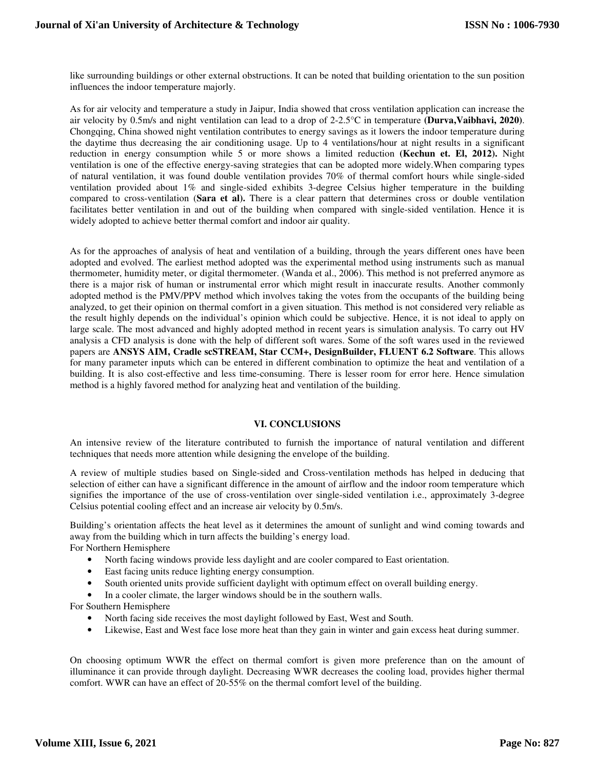like surrounding buildings or other external obstructions. It can be noted that building orientation to the sun position influences the indoor temperature majorly.

As for air velocity and temperature a study in Jaipur, India showed that cross ventilation application can increase the air velocity by 0.5m/s and night ventilation can lead to a drop of 2-2.5°C in temperature **(Durva,Vaibhavi, 2020)**. Chongqing, China showed night ventilation contributes to energy savings as it lowers the indoor temperature during the daytime thus decreasing the air conditioning usage. Up to 4 ventilations/hour at night results in a significant reduction in energy consumption while 5 or more shows a limited reduction **(Kechun et. El, 2012).** Night ventilation is one of the effective energy-saving strategies that can be adopted more widely.When comparing types of natural ventilation, it was found double ventilation provides 70% of thermal comfort hours while single-sided ventilation provided about 1% and single-sided exhibits 3-degree Celsius higher temperature in the building compared to cross-ventilation (**Sara et al).** There is a clear pattern that determines cross or double ventilation facilitates better ventilation in and out of the building when compared with single-sided ventilation. Hence it is widely adopted to achieve better thermal comfort and indoor air quality.

As for the approaches of analysis of heat and ventilation of a building, through the years different ones have been adopted and evolved. The earliest method adopted was the experimental method using instruments such as manual thermometer, humidity meter, or digital thermometer. (Wanda et al., 2006). This method is not preferred anymore as there is a major risk of human or instrumental error which might result in inaccurate results. Another commonly adopted method is the PMV/PPV method which involves taking the votes from the occupants of the building being analyzed, to get their opinion on thermal comfort in a given situation. This method is not considered very reliable as the result highly depends on the individual's opinion which could be subjective. Hence, it is not ideal to apply on large scale. The most advanced and highly adopted method in recent years is simulation analysis. To carry out HV analysis a CFD analysis is done with the help of different soft wares. Some of the soft wares used in the reviewed papers are **ANSYS AIM, Cradle scSTREAM, Star CCM+, DesignBuilder, FLUENT 6.2 Software**. This allows for many parameter inputs which can be entered in different combination to optimize the heat and ventilation of a building. It is also cost-effective and less time-consuming. There is lesser room for error here. Hence simulation method is a highly favored method for analyzing heat and ventilation of the building.

#### **VI. CONCLUSIONS**

An intensive review of the literature contributed to furnish the importance of natural ventilation and different techniques that needs more attention while designing the envelope of the building.

A review of multiple studies based on Single-sided and Cross-ventilation methods has helped in deducing that selection of either can have a significant difference in the amount of airflow and the indoor room temperature which signifies the importance of the use of cross-ventilation over single-sided ventilation i.e., approximately 3-degree Celsius potential cooling effect and an increase air velocity by 0.5m/s.

Building's orientation affects the heat level as it determines the amount of sunlight and wind coming towards and away from the building which in turn affects the building's energy load.

For Northern Hemisphere

- North facing windows provide less daylight and are cooler compared to East orientation.
- East facing units reduce lighting energy consumption.
- South oriented units provide sufficient daylight with optimum effect on overall building energy.
- In a cooler climate, the larger windows should be in the southern walls.

For Southern Hemisphere

- North facing side receives the most daylight followed by East, West and South.
- Likewise, East and West face lose more heat than they gain in winter and gain excess heat during summer.

On choosing optimum WWR the effect on thermal comfort is given more preference than on the amount of illuminance it can provide through daylight. Decreasing WWR decreases the cooling load, provides higher thermal comfort. WWR can have an effect of 20-55% on the thermal comfort level of the building.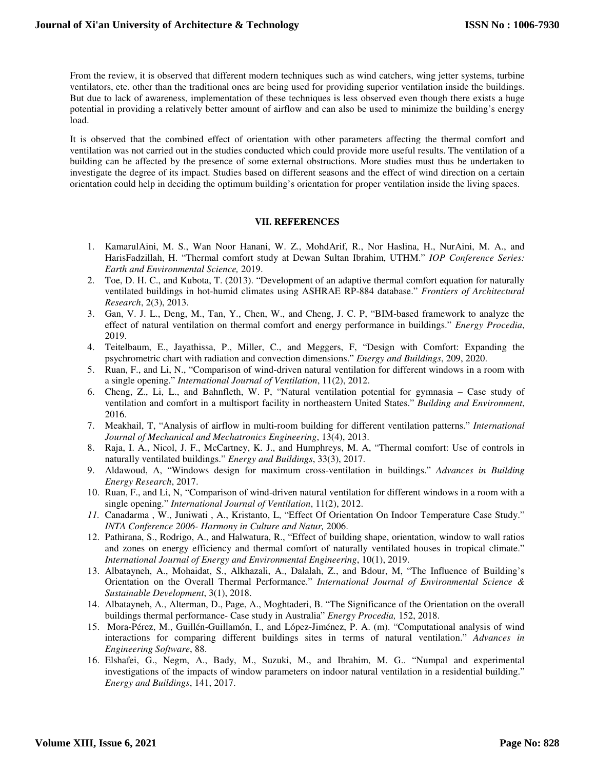From the review, it is observed that different modern techniques such as wind catchers, wing jetter systems, turbine ventilators, etc. other than the traditional ones are being used for providing superior ventilation inside the buildings. But due to lack of awareness, implementation of these techniques is less observed even though there exists a huge potential in providing a relatively better amount of airflow and can also be used to minimize the building's energy load.

It is observed that the combined effect of orientation with other parameters affecting the thermal comfort and ventilation was not carried out in the studies conducted which could provide more useful results. The ventilation of a building can be affected by the presence of some external obstructions. More studies must thus be undertaken to investigate the degree of its impact. Studies based on different seasons and the effect of wind direction on a certain orientation could help in deciding the optimum building's orientation for proper ventilation inside the living spaces.

#### **VII. REFERENCES**

- 1. KamarulAini, M. S., Wan Noor Hanani, W. Z., MohdArif, R., Nor Haslina, H., NurAini, M. A., and HarisFadzillah, H. "Thermal comfort study at Dewan Sultan Ibrahim, UTHM." *IOP Conference Series: Earth and Environmental Science,* 2019.
- 2. Toe, D. H. C., and Kubota, T. (2013). "Development of an adaptive thermal comfort equation for naturally ventilated buildings in hot-humid climates using ASHRAE RP-884 database." *Frontiers of Architectural Research*, 2(3), 2013.
- 3. Gan, V. J. L., Deng, M., Tan, Y., Chen, W., and Cheng, J. C. P, "BIM-based framework to analyze the effect of natural ventilation on thermal comfort and energy performance in buildings." *Energy Procedia*, 2019.
- 4. Teitelbaum, E., Jayathissa, P., Miller, C., and Meggers, F, "Design with Comfort: Expanding the psychrometric chart with radiation and convection dimensions." *Energy and Buildings*, 209, 2020.
- 5. Ruan, F., and Li, N., "Comparison of wind-driven natural ventilation for different windows in a room with a single opening." *International Journal of Ventilation*, 11(2), 2012.
- 6. Cheng, Z., Li, L., and Bahnfleth, W. P, "Natural ventilation potential for gymnasia Case study of ventilation and comfort in a multisport facility in northeastern United States." *Building and Environment*, 2016.
- 7. Meakhail, T, "Analysis of airflow in multi-room building for different ventilation patterns." *International Journal of Mechanical and Mechatronics Engineering*, 13(4), 2013.
- 8. Raja, I. A., Nicol, J. F., McCartney, K. J., and Humphreys, M. A, "Thermal comfort: Use of controls in naturally ventilated buildings." *Energy and Buildings*, 33(3), 2017.
- 9. Aldawoud, A, "Windows design for maximum cross-ventilation in buildings." *Advances in Building Energy Research*, 2017.
- 10. Ruan, F., and Li, N, "Comparison of wind-driven natural ventilation for different windows in a room with a single opening." *International Journal of Ventilation*, 11(2), 2012.
- *11.* Canadarma , W., Juniwati , A., Kristanto, L, "Effect Of Orientation On Indoor Temperature Case Study." *INTA Conference 2006- Harmony in Culture and Natur,* 2006.
- 12. Pathirana, S., Rodrigo, A., and Halwatura, R., "Effect of building shape, orientation, window to wall ratios and zones on energy efficiency and thermal comfort of naturally ventilated houses in tropical climate." *International Journal of Energy and Environmental Engineering*, 10(1), 2019.
- 13. Albatayneh, A., Mohaidat, S., Alkhazali, A., Dalalah, Z., and Bdour, M, "The Influence of Building's Orientation on the Overall Thermal Performance." *International Journal of Environmental Science & Sustainable Development*, 3(1), 2018.
- 14. Albatayneh, A., Alterman, D., Page, A., Moghtaderi, B. "The Significance of the Orientation on the overall buildings thermal performance- Case study in Australia" *Energy Procedia,* 152, 2018.
- 15. Mora-Pérez, M., Guillén-Guillamón, I., and López-Jiménez, P. A. (m). "Computational analysis of wind interactions for comparing different buildings sites in terms of natural ventilation." *Advances in Engineering Software*, 88.
- 16. Elshafei, G., Negm, A., Bady, M., Suzuki, M., and Ibrahim, M. G.. "Numpal and experimental investigations of the impacts of window parameters on indoor natural ventilation in a residential building." *Energy and Buildings*, 141, 2017.